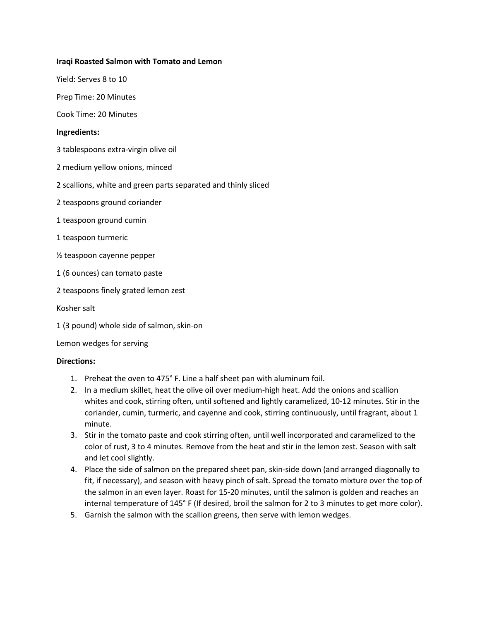## **Iraqi Roasted Salmon with Tomato and Lemon**

Yield: Serves 8 to 10

Prep Time: 20 Minutes

Cook Time: 20 Minutes

## **Ingredients:**

3 tablespoons extra-virgin olive oil

- 2 medium yellow onions, minced
- 2 scallions, white and green parts separated and thinly sliced
- 2 teaspoons ground coriander
- 1 teaspoon ground cumin
- 1 teaspoon turmeric
- ½ teaspoon cayenne pepper
- 1 (6 ounces) can tomato paste
- 2 teaspoons finely grated lemon zest
- Kosher salt
- 1 (3 pound) whole side of salmon, skin-on

Lemon wedges for serving

#### **Directions:**

- 1. Preheat the oven to 475° F. Line a half sheet pan with aluminum foil.
- 2. In a medium skillet, heat the olive oil over medium-high heat. Add the onions and scallion whites and cook, stirring often, until softened and lightly caramelized, 10-12 minutes. Stir in the coriander, cumin, turmeric, and cayenne and cook, stirring continuously, until fragrant, about 1 minute.
- 3. Stir in the tomato paste and cook stirring often, until well incorporated and caramelized to the color of rust, 3 to 4 minutes. Remove from the heat and stir in the lemon zest. Season with salt and let cool slightly.
- 4. Place the side of salmon on the prepared sheet pan, skin-side down (and arranged diagonally to fit, if necessary), and season with heavy pinch of salt. Spread the tomato mixture over the top of the salmon in an even layer. Roast for 15-20 minutes, until the salmon is golden and reaches an internal temperature of 145° F (If desired, broil the salmon for 2 to 3 minutes to get more color).
- 5. Garnish the salmon with the scallion greens, then serve with lemon wedges.